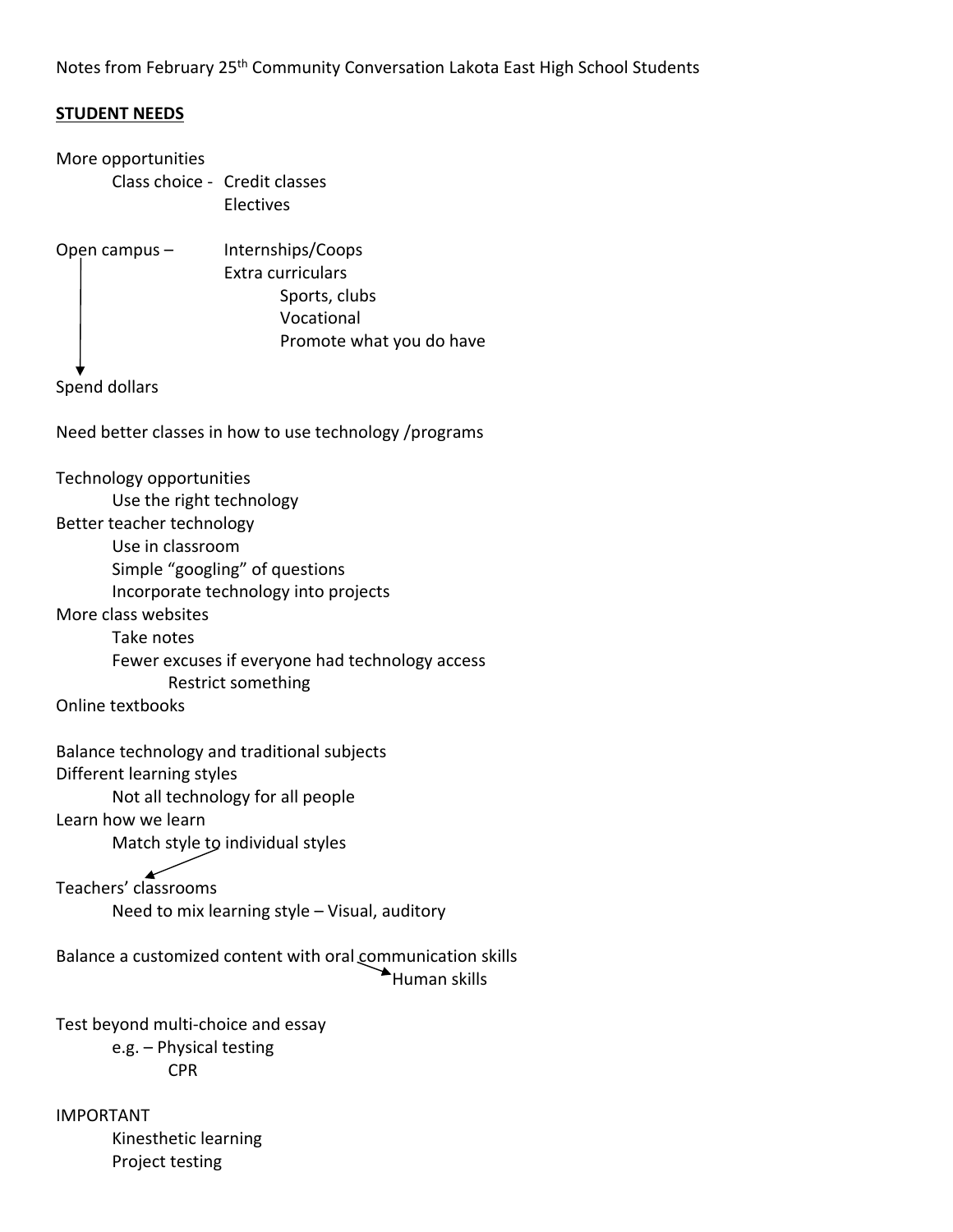Notes from February 25<sup>th</sup> Community Conversation Lakota East High School Students

## **STUDENT NEEDS**

More opportunities Class choice ‐ Credit classes Electives Open campus – Internships/Coops Extra curriculars Sports, clubs Vocational Promote what you do have Spend dollars Need better classes in how to use technology /programs Technology opportunities Use the right technology Better teacher technology Use in classroom Simple "googling" of questions Incorporate technology into projects More class websites Take notes Fewer excuses if everyone had technology access Restrict something Online textbooks Balance technology and traditional subjects Different learning styles Not all technology for all people Learn how we learn Match style to individual styles سد Teachers' classrooms Need to mix learning style – Visual, auditory Balance a customized content with oral communication skills Human skills Test beyond multi‐choice and essay e.g. – Physical testing CPR IMPORTANT Kinesthetic learning

Project testing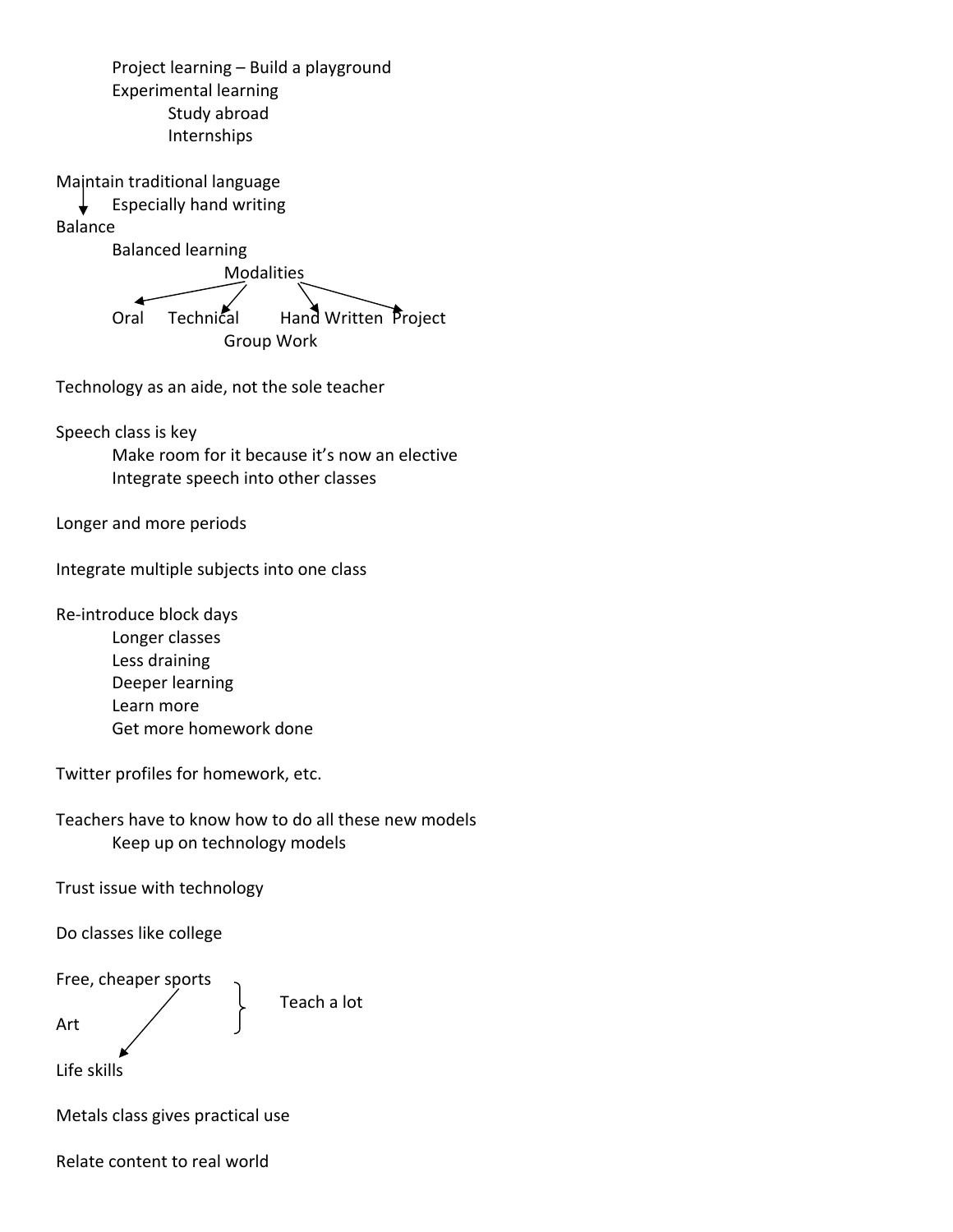Project learning – Build a playground Experimental learning Study abroad Internships

Maintain traditional language

Especially hand writing Balance

Balanced learning

 Modalities Oral Technical Hand Written Project

Group Work

Technology as an aide, not the sole teacher

Speech class is key

Make room for it because it's now an elective Integrate speech into other classes

Longer and more periods

Integrate multiple subjects into one class

Re‐introduce block days

Longer classes Less draining Deeper learning Learn more Get more homework done

Twitter profiles for homework, etc.

Teachers have to know how to do all these new models Keep up on technology models

Trust issue with technology

Do classes like college

Free, cheaper sports

Teach a lot

Art

Life skills

Metals class gives practical use

Relate content to real world